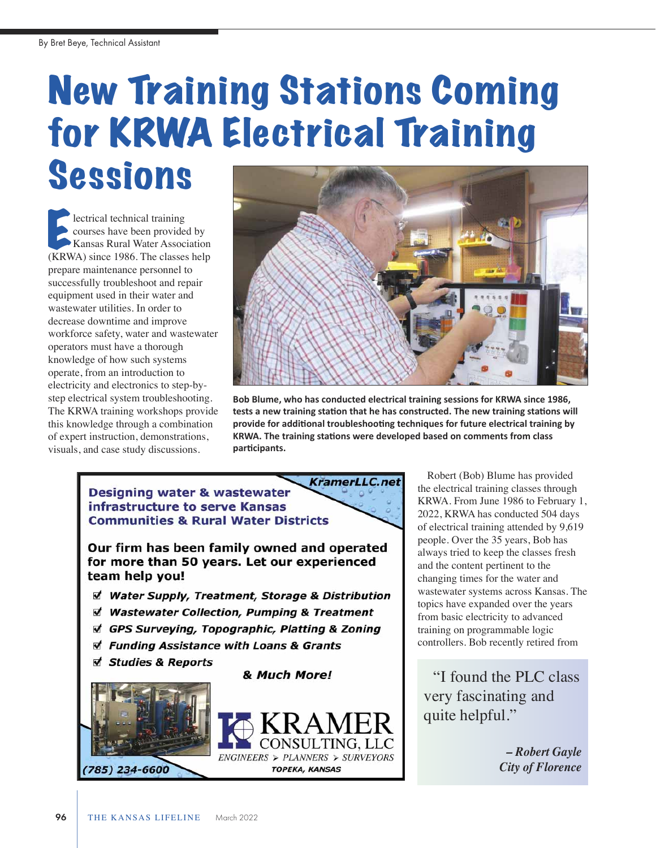## New Training Stations Coming for KRWA Electrical Training Sessions

lectrical technical training courses have been provided by Kansas Rural Water Association **Exercical technical training**<br>
courses have been provided by<br>
Kansas Rural Water Association<br>
(KRWA) since 1986. The classes help prepare maintenance personnel to successfully troubleshoot and repair equipment used in their water and wastewater utilities. In order to decrease downtime and improve workforce safety, water and wastewater operators must have a thorough knowledge of how such systems operate, from an introduction to electricity and electronics to step-bystep electrical system troubleshooting. The KRWA training workshops provide this knowledge through a combination of expert instruction, demonstrations, visuals, and case study discussions.



**Bob Blume, who has conducted electrical training sessions for KRWA since 1986, tests a new training station that he has constructed. The new training stations will provide for additional troubleshooting techniques for future electrical training by KRWA. The training stations were developed based on comments from class participants.**



Robert (Bob) Blume has provided the electrical training classes through KRWA. From June 1986 to February 1, 2022, KRWA has conducted 504 days of electrical training attended by 9,619 people. Over the 35 years, Bob has always tried to keep the classes fresh and the content pertinent to the changing times for the water and wastewater systems across Kansas. The topics have expanded over the years from basic electricity to advanced training on programmable logic controllers. Bob recently retired from

"I found the PLC class very fascinating and quite helpful."

> *– Robert Gayle City of Florence*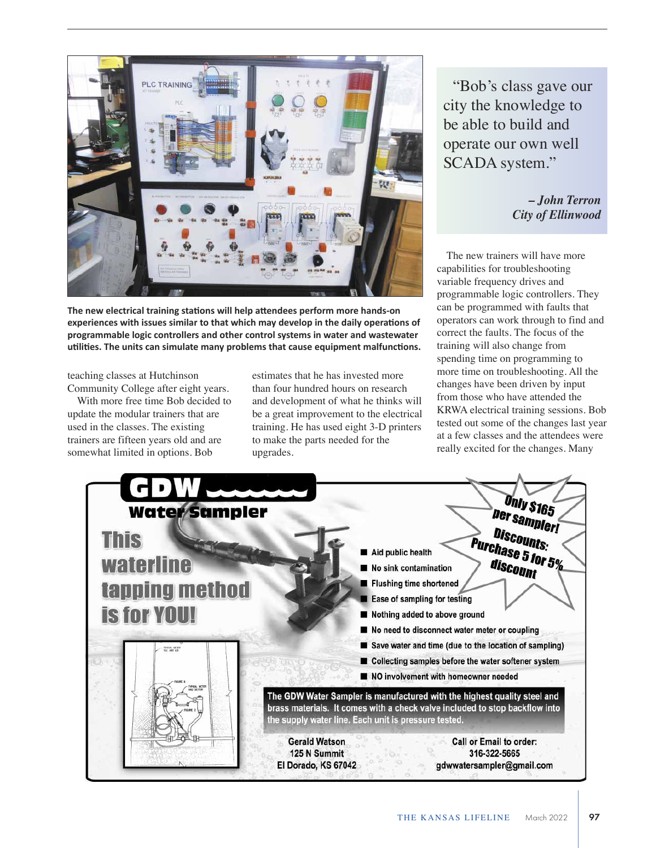

**The new electrical training stations will help attendees perform more handson experiences with issues similar to that which may develop in the daily operations of programmable logic controllers and other control systems in water and wastewater utilities. The units can simulate many problems that cause equipment malfunctions.**

teaching classes at Hutchinson Community College after eight years.

With more free time Bob decided to update the modular trainers that are used in the classes. The existing trainers are fifteen years old and are somewhat limited in options. Bob

estimates that he has invested more than four hundred hours on research and development of what he thinks will be a great improvement to the electrical training. He has used eight 3-D printers to make the parts needed for the upgrades.

"Bob's class gave our city the knowledge to be able to build and operate our own well SCADA system."

> *– John Terron City of Ellinwood*

The new trainers will have more capabilities for troubleshooting variable frequency drives and programmable logic controllers. They can be programmed with faults that operators can work through to find and correct the faults. The focus of the training will also change from spending time on programming to more time on troubleshooting. All the changes have been driven by input from those who have attended the KRWA electrical training sessions. Bob tested out some of the changes last year at a few classes and the attendees were really excited for the changes. Many